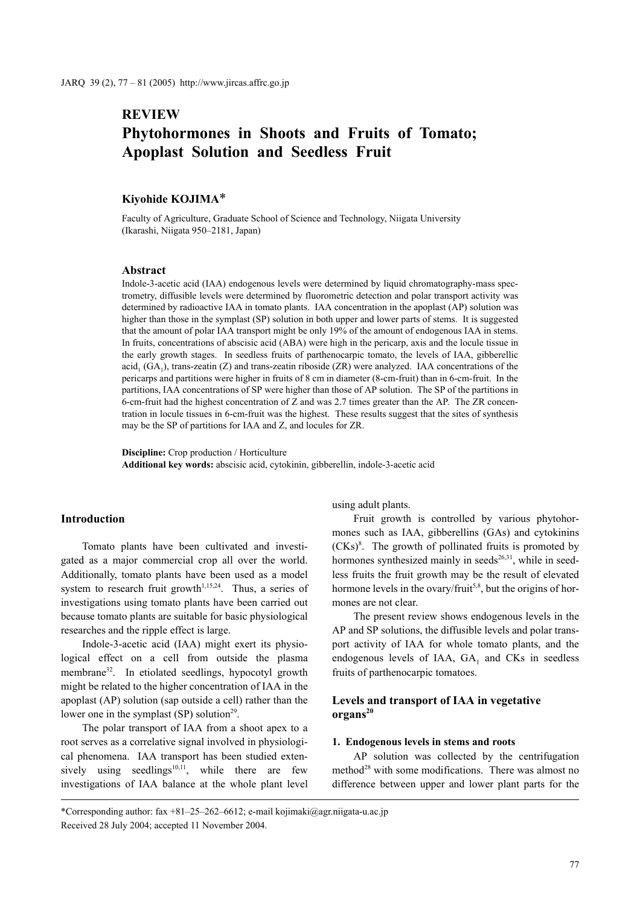## **REVIEW**

# **Phytohormones in Shoots and Fruits of Tomato; Apoplast Solution and Seedless Fruit**

## **Kiyohide KOJIMA**\*

Faculty of Agriculture, Graduate School of Science and Technology, Niigata University (Ikarashi, Niigata 950–2181, Japan)

#### **Abstract**

Indole-3-acetic acid (IAA) endogenous levels were determined by liquid chromatography-mass spectrometry, diffusible levels were determined by fluorometric detection and polar transport activity was determined by radioactive IAA in tomato plants. IAA concentration in the apoplast (AP) solution was higher than those in the symplast (SP) solution in both upper and lower parts of stems. It is suggested that the amount of polar IAA transport might be only 19% of the amount of endogenous IAA in stems. In fruits, concentrations of abscisic acid (ABA) were high in the pericarp, axis and the locule tissue in the early growth stages. In seedless fruits of parthenocarpic tomato, the levels of IAA, gibberellic  $\text{acid}_1 \left( \text{GA}_1 \right)$ , trans-zeatin (Z) and trans-zeatin riboside (ZR) were analyzed. IAA concentrations of the pericarps and partitions were higher in fruits of 8 cm in diameter (8-cm-fruit) than in 6-cm-fruit. In the partitions, IAA concentrations of SP were higher than those of AP solution. The SP of the partitions in 6-cm-fruit had the highest concentration of Z and was 2.7 times greater than the AP. The ZR concentration in locule tissues in 6-cm-fruit was the highest. These results suggest that the sites of synthesis may be the SP of partitions for IAA and Z, and locules for ZR.

**Discipline:** Crop production / Horticulture **Additional key words:** abscisic acid, cytokinin, gibberellin, indole-3-acetic acid

## **Introduction**

Tomato plants have been cultivated and investigated as a major commercial crop all over the world. Additionally, tomato plants have been used as a model system to research fruit growth<sup> $1,15,24$ </sup>. Thus, a series of investigations using tomato plants have been carried out because tomato plants are suitable for basic physiological researches and the ripple effect is large.

Indole-3-acetic acid (IAA) might exert its physiological effect on a cell from outside the plasma membrane<sup>32</sup>. In etiolated seedlings, hypocotyl growth might be related to the higher concentration of IAA in the apoplast (AP) solution (sap outside a cell) rather than the lower one in the symplast  $(SP)$  solution<sup>29</sup>.

The polar transport of IAA from a shoot apex to a root serves as a correlative signal involved in physiological phenomena. IAA transport has been studied extensively using seedlings $10,11$ , while there are few investigations of IAA balance at the whole plant level using adult plants.

Fruit growth is controlled by various phytohormones such as IAA, gibberellins (GAs) and cytokinins  $(CKs)<sup>8</sup>$ . The growth of pollinated fruits is promoted by hormones synthesized mainly in seeds $^{26,31}$ , while in seedless fruits the fruit growth may be the result of elevated hormone levels in the ovary/fruit<sup>5,8</sup>, but the origins of hormones are not clear.

The present review shows endogenous levels in the AP and SP solutions, the diffusible levels and polar transport activity of IAA for whole tomato plants, and the endogenous levels of IAA,  $GA_1$  and CKs in seedless fruits of parthenocarpic tomatoes.

## **Levels and transport of IAA in vegetative organs20**

#### **1. Endogenous levels in stems and roots**

AP solution was collected by the centrifugation method<sup>28</sup> with some modifications. There was almost no difference between upper and lower plant parts for the

\*Corresponding author: fax +81–25–262–6612; e-mail kojimaki@agr.niigata-u.ac.jp Received 28 July 2004; accepted 11 November 2004.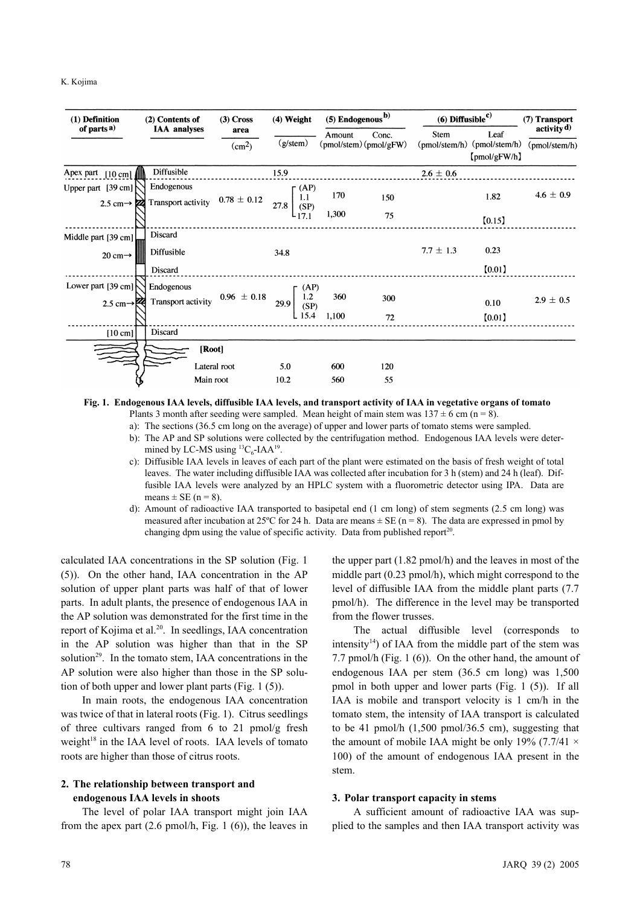| (1) Definition<br>of parts <sup>a)</sup>      | (2) Contents of                  | $(3)$ Cross<br>area<br>(cm <sup>2</sup> ) | $(4)$ Weight      |                            | $(5)$ Endogenous <sup>b)</sup>  |                       | $(6)$ Diffusible <sup>c)</sup>        |                                        |
|-----------------------------------------------|----------------------------------|-------------------------------------------|-------------------|----------------------------|---------------------------------|-----------------------|---------------------------------------|----------------------------------------|
|                                               | <b>IAA</b> analyses              |                                           | $(g/\text{stem})$ | Amount                     | Conc.<br>(pmol/stem) (pmol/gFW) | Stem<br>(pmol/stem/h) | Leaf<br>(pmol/stem/h)<br>[pmol/gFW/h] | activity $\mathbf{d}$<br>(pmol/stem/h) |
| Apex part<br>$[10 \text{ cm}]$                | Diffusible                       |                                           | 15.9              |                            |                                 | $2.6 \pm 0.6$         |                                       |                                        |
| Upper part [39 cm]<br>2.5 cm $\rightarrow$ 22 | Endogenous<br>Transport activity | $0.78 \pm 0.12$                           | 27.8              | (AP)<br>170<br>1.1<br>(SP) | 150                             |                       | 1.82                                  | $4.6\,\pm\,0.9$                        |
|                                               |                                  |                                           | $L_{17.1}$        | 1,300                      | 75                              |                       | [0.15]                                |                                        |
| Middle part [39 cm]                           | Discard                          |                                           |                   |                            |                                 |                       |                                       |                                        |
| 20 cm $\rightarrow$                           | Diffusible                       |                                           | 34.8              |                            |                                 | $7.7 \pm 1.3$         | 0.23                                  |                                        |
|                                               | Discard                          |                                           |                   |                            |                                 |                       | [0.01]                                |                                        |
| Lower part [39 cm]                            | Endogenous                       |                                           |                   | (AP)                       |                                 |                       |                                       |                                        |
| 2.5 cm $-$                                    | Transport activity               | $0.96 \pm 0.18$                           | 29.9              | $\frac{1.2}{(SP)}$<br>360  | 300                             |                       | 0.10                                  | $2.9 \pm 0.5$                          |
|                                               |                                  |                                           |                   | 15.4<br>1,100              | 72                              |                       | [0.01]                                |                                        |
| $[10 \text{ cm}]$                             | Discard                          |                                           |                   |                            |                                 |                       |                                       |                                        |
|                                               | [Root]                           |                                           |                   |                            |                                 |                       |                                       |                                        |
|                                               |                                  | Lateral root                              | 5.0               | 600                        | 120                             |                       |                                       |                                        |
|                                               | Main root                        |                                           | 10.2              | 560                        | 55                              |                       |                                       |                                        |

#### **Fig. 1. Endogenous IAA levels, diffusible IAA levels, and transport activity of IAA in vegetative organs of tomato** Plants 3 month after seeding were sampled. Mean height of main stem was  $137 \pm 6$  cm (n = 8).

a): The sections (36.5 cm long on the average) of upper and lower parts of tomato stems were sampled.

- b): The AP and SP solutions were collected by the centrifugation method. Endogenous IAA levels were determined by LC-MS using  ${}^{13}C_6$ -IAA<sup>19</sup>.
- c): Diffusible IAA levels in leaves of each part of the plant were estimated on the basis of fresh weight of total leaves. The water including diffusible IAA was collected after incubation for 3 h (stem) and 24 h (leaf). Diffusible IAA levels were analyzed by an HPLC system with a fluorometric detector using IPA. Data are means  $\pm$  SE (n = 8).
- d): Amount of radioactive IAA transported to basipetal end (1 cm long) of stem segments (2.5 cm long) was measured after incubation at 25°C for 24 h. Data are means  $\pm$  SE (n = 8). The data are expressed in pmol by changing dpm using the value of specific activity. Data from published report<sup>20</sup>.

calculated IAA concentrations in the SP solution (Fig. 1 (5)). On the other hand, IAA concentration in the AP solution of upper plant parts was half of that of lower parts. In adult plants, the presence of endogenous IAA in the AP solution was demonstrated for the first time in the report of Kojima et al.<sup>20</sup>. In seedlings, IAA concentration in the AP solution was higher than that in the SP solution<sup>29</sup>. In the tomato stem, IAA concentrations in the AP solution were also higher than those in the SP solution of both upper and lower plant parts (Fig. 1 (5)).

In main roots, the endogenous IAA concentration was twice of that in lateral roots (Fig. 1). Citrus seedlings of three cultivars ranged from 6 to 21 pmol/g fresh weight<sup>18</sup> in the IAA level of roots. IAA levels of tomato roots are higher than those of citrus roots.

## **2. The relationship between transport and endogenous IAA levels in shoots**

The level of polar IAA transport might join IAA from the apex part (2.6 pmol/h, Fig. 1 (6)), the leaves in the upper part (1.82 pmol/h) and the leaves in most of the middle part (0.23 pmol/h), which might correspond to the level of diffusible IAA from the middle plant parts (7.7 pmol/h). The difference in the level may be transported from the flower trusses.

The actual diffusible level (corresponds to intensity $14$ ) of IAA from the middle part of the stem was 7.7 pmol/h (Fig. 1 (6)). On the other hand, the amount of endogenous IAA per stem (36.5 cm long) was 1,500 pmol in both upper and lower parts (Fig. 1 (5)). If all IAA is mobile and transport velocity is 1 cm/h in the tomato stem, the intensity of IAA transport is calculated to be 41 pmol/h  $(1,500 \text{ pmol}/36.5 \text{ cm})$ , suggesting that the amount of mobile IAA might be only 19% (7.7/41  $\times$ 100) of the amount of endogenous IAA present in the stem.

#### **3. Polar transport capacity in stems**

A sufficient amount of radioactive IAA was supplied to the samples and then IAA transport activity was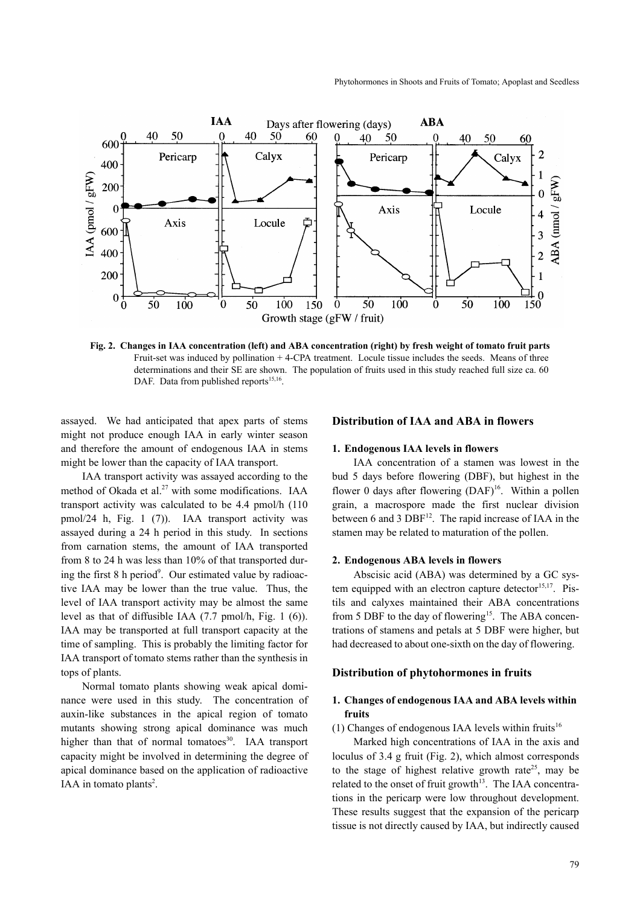

**Fig. 2. Changes in IAA concentration (left) and ABA concentration (right) by fresh weight of tomato fruit parts** Fruit-set was induced by pollination + 4-CPA treatment. Locule tissue includes the seeds. Means of three determinations and their SE are shown. The population of fruits used in this study reached full size ca. 60 DAF. Data from published reports $15,16$ .

assayed. We had anticipated that apex parts of stems might not produce enough IAA in early winter season and therefore the amount of endogenous IAA in stems might be lower than the capacity of IAA transport.

IAA transport activity was assayed according to the method of Okada et al.<sup>27</sup> with some modifications. IAA transport activity was calculated to be 4.4 pmol/h (110 pmol/24 h, Fig. 1 (7)). IAA transport activity was assayed during a 24 h period in this study. In sections from carnation stems, the amount of IAA transported from 8 to 24 h was less than 10% of that transported during the first 8 h period<sup>9</sup>. Our estimated value by radioactive IAA may be lower than the true value. Thus, the level of IAA transport activity may be almost the same level as that of diffusible IAA (7.7 pmol/h, Fig. 1 (6)). IAA may be transported at full transport capacity at the time of sampling. This is probably the limiting factor for IAA transport of tomato stems rather than the synthesis in tops of plants.

Normal tomato plants showing weak apical dominance were used in this study. The concentration of auxin-like substances in the apical region of tomato mutants showing strong apical dominance was much higher than that of normal tomatoes $30$ . IAA transport capacity might be involved in determining the degree of apical dominance based on the application of radioactive IAA in tomato plants<sup>2</sup>.

## **Distribution of IAA and ABA in flowers**

#### **1. Endogenous IAA levels in flowers**

IAA concentration of a stamen was lowest in the bud 5 days before flowering (DBF), but highest in the flower 0 days after flowering  $(DAF)^{16}$ . Within a pollen grain, a macrospore made the first nuclear division between 6 and 3  $DBF<sup>12</sup>$ . The rapid increase of IAA in the stamen may be related to maturation of the pollen.

#### **2. Endogenous ABA levels in flowers**

Abscisic acid (ABA) was determined by a GC system equipped with an electron capture detector<sup>15,17</sup>. Pistils and calyxes maintained their ABA concentrations from 5 DBF to the day of flowering<sup>15</sup>. The ABA concentrations of stamens and petals at 5 DBF were higher, but had decreased to about one-sixth on the day of flowering.

#### **Distribution of phytohormones in fruits**

## **1. Changes of endogenous IAA and ABA levels within fruits**

(1) Changes of endogenous IAA levels within fruits<sup>16</sup>

Marked high concentrations of IAA in the axis and loculus of 3.4 g fruit (Fig. 2), which almost corresponds to the stage of highest relative growth rate<sup>25</sup>, may be related to the onset of fruit growth $13$ . The IAA concentrations in the pericarp were low throughout development. These results suggest that the expansion of the pericarp tissue is not directly caused by IAA, but indirectly caused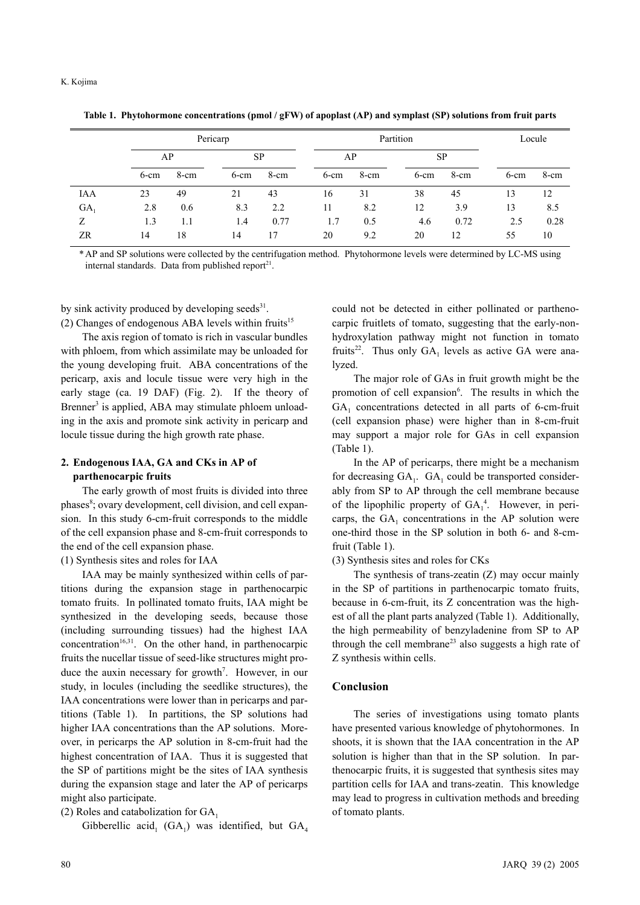|            | Pericarp |      |         |           | Partition |      |         |           | Locule  |      |
|------------|----------|------|---------|-----------|-----------|------|---------|-----------|---------|------|
|            |          | AP   |         | <b>SP</b> |           | AP   |         | <b>SP</b> |         |      |
|            | $6$ -cm  | 8-cm | $6$ -cm | 8-cm      | $6$ -cm   | 8-cm | $6$ -cm | 8-cm      | $6$ -cm | 8-cm |
| <b>IAA</b> | 23       | 49   | 21      | 43        | 16        | 31   | 38      | 45        | 13      | 12   |
| $GA_1$     | 2.8      | 0.6  | 8.3     | 2.2       | 11        | 8.2  | 12      | 3.9       | 13      | 8.5  |
| Ζ          | 1.3      | 1.1  | 1.4     | 0.77      | 1.7       | 0.5  | 4.6     | 0.72      | 2.5     | 0.28 |
| ZR         | 14       | 18   | 14      | 17        | 20        | 9.2  | 20      | 12        | 55      | 10   |

**Table 1. Phytohormone concentrations (pmol / gFW) of apoplast (AP) and symplast (SP) solutions from fruit parts**

\* AP and SP solutions were collected by the centrifugation method. Phytohormone levels were determined by LC-MS using internal standards. Data from published report<sup>21</sup>.

by sink activity produced by developing seeds $31$ . (2) Changes of endogenous ABA levels within fruits<sup>15</sup>

The axis region of tomato is rich in vascular bundles with phloem, from which assimilate may be unloaded for the young developing fruit. ABA concentrations of the pericarp, axis and locule tissue were very high in the early stage (ca. 19 DAF) (Fig. 2). If the theory of Brenner<sup>3</sup> is applied, ABA may stimulate phloem unloading in the axis and promote sink activity in pericarp and locule tissue during the high growth rate phase.

## **2. Endogenous IAA, GA and CKs in AP of parthenocarpic fruits**

The early growth of most fruits is divided into three phases<sup>8</sup>; ovary development, cell division, and cell expansion. In this study 6-cm-fruit corresponds to the middle of the cell expansion phase and 8-cm-fruit corresponds to the end of the cell expansion phase.

(1) Synthesis sites and roles for IAA

IAA may be mainly synthesized within cells of partitions during the expansion stage in parthenocarpic tomato fruits. In pollinated tomato fruits, IAA might be synthesized in the developing seeds, because those (including surrounding tissues) had the highest IAA concentration<sup>16,31</sup>. On the other hand, in parthenocarpic fruits the nucellar tissue of seed-like structures might produce the auxin necessary for growth<sup>7</sup>. However, in our study, in locules (including the seedlike structures), the IAA concentrations were lower than in pericarps and partitions (Table 1). In partitions, the SP solutions had higher IAA concentrations than the AP solutions. Moreover, in pericarps the AP solution in 8-cm-fruit had the highest concentration of IAA. Thus it is suggested that the SP of partitions might be the sites of IAA synthesis during the expansion stage and later the AP of pericarps might also participate.

(2) Roles and catabolization for  $GA<sub>1</sub>$ 

Gibberellic acid<sub>1</sub> (GA<sub>1</sub>) was identified, but GA<sub>4</sub>

could not be detected in either pollinated or parthenocarpic fruitlets of tomato, suggesting that the early-nonhydroxylation pathway might not function in tomato fruits<sup>22</sup>. Thus only  $GA_1$  levels as active GA were analyzed.

The major role of GAs in fruit growth might be the promotion of cell expansion<sup>6</sup>. The results in which the GA<sub>1</sub> concentrations detected in all parts of 6-cm-fruit (cell expansion phase) were higher than in 8-cm-fruit may support a major role for GAs in cell expansion (Table 1).

In the AP of pericarps, there might be a mechanism for decreasing  $GA_1$ .  $GA_1$  could be transported considerably from SP to AP through the cell membrane because of the lipophilic property of  $GA_1^4$ . However, in pericarps, the  $GA_1$  concentrations in the AP solution were one-third those in the SP solution in both 6- and 8-cmfruit (Table 1).

(3) Synthesis sites and roles for CKs

The synthesis of trans-zeatin (Z) may occur mainly in the SP of partitions in parthenocarpic tomato fruits, because in 6-cm-fruit, its Z concentration was the highest of all the plant parts analyzed (Table 1). Additionally, the high permeability of benzyladenine from SP to AP through the cell membrane<sup>23</sup> also suggests a high rate of Z synthesis within cells.

### **Conclusion**

The series of investigations using tomato plants have presented various knowledge of phytohormones. In shoots, it is shown that the IAA concentration in the AP solution is higher than that in the SP solution. In parthenocarpic fruits, it is suggested that synthesis sites may partition cells for IAA and trans-zeatin. This knowledge may lead to progress in cultivation methods and breeding of tomato plants.